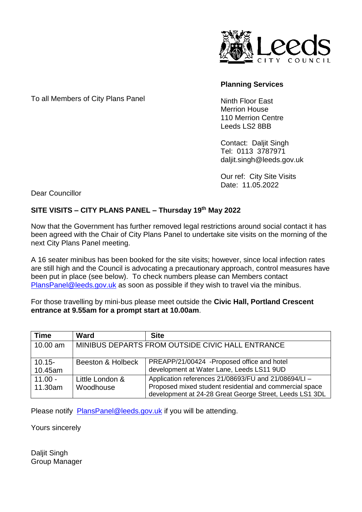

## **Planning Services**

To all Members of City Plans Panel

Ninth Floor East Merrion House 110 Merrion Centre Leeds LS2 8BB

Contact: Daljit Singh Tel: 0113 3787971 daljit.singh@leeds.gov.uk

Our ref: City Site Visits Date: 11.05.2022

Dear Councillor

## **SITE VISITS – CITY PLANS PANEL – Thursday 19th May 2022**

Now that the Government has further removed legal restrictions around social contact it has been agreed with the Chair of City Plans Panel to undertake site visits on the morning of the next City Plans Panel meeting.

A 16 seater minibus has been booked for the site visits; however, since local infection rates are still high and the Council is advocating a precautionary approach, control measures have been put in place (see below). To check numbers please can Members contact [PlansPanel@leeds.gov.uk](mailto:PlansPanel@leeds.gov.uk) as soon as possible if they wish to travel via the minibus.

For those travelling by mini-bus please meet outside the **Civic Hall, Portland Crescent entrance at 9.55am for a prompt start at 10.00am**.

| <b>Time</b>          | <b>Ward</b>                                      | <b>Site</b>                                                                                                                                                                |
|----------------------|--------------------------------------------------|----------------------------------------------------------------------------------------------------------------------------------------------------------------------------|
| 10.00 am             | MINIBUS DEPARTS FROM OUTSIDE CIVIC HALL ENTRANCE |                                                                                                                                                                            |
| $10.15 -$<br>10.45am | Beeston & Holbeck                                | PREAPP/21/00424 -Proposed office and hotel<br>development at Water Lane, Leeds LS11 9UD                                                                                    |
| $11.00 -$<br>11.30am | Little London &<br>Woodhouse                     | Application references 21/08693/FU and 21/08694/LI -<br>Proposed mixed student residential and commercial space<br>development at 24-28 Great George Street, Leeds LS1 3DL |

Please notify [PlansPanel@leeds.gov.uk](mailto:PlansPanel@leeds.gov.uk) if you will be attending.

Yours sincerely

Daljit Singh Group Manager